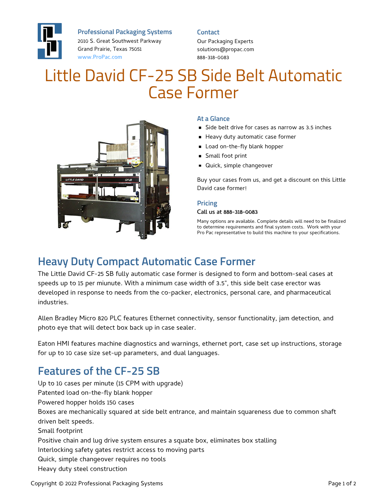

**Professional Packaging Systems**

2010 S. Great Southwest Parkway Grand Prairie, Texas 75051 [www.ProPac.com](https://www.propac.com/)

#### **Contact**

Our Packaging Experts solutions@propac.com 888-318-0083

# Little David CF-25 SB Side Belt Automatic Case Former



### **At a Glance**

- Side belt drive for cases as narrow as 3.5 inches
- Heavy duty automatic case former
- **Load on-the-fly blank hopper**
- **Small foot print**
- **Quick, simple changeover**

Buy your cases from us, and get a discount on this Little David case former!

#### **Pricing**

#### Call us at 888-318-0083

Many options are available. Complete details will need to be finalized to determine requirements and final system costs. Work with your Pro Pac representative to build this machine to your specifications.

## **Heavy Duty Compact Automatic Case Former**

The Little David CF-25 SB fully automatic case former is designed to form and bottom-seal cases at speeds up to 15 per miunute. With a minimum case width of 3.5", this side belt case erector was developed in response to needs from the co-packer, electronics, personal care, and pharmaceutical industries.

Allen Bradley Micro 820 PLC features Ethernet connectivity, sensor functionality, jam detection, and photo eye that will detect box back up in case sealer.

Eaton HMI features machine diagnostics and warnings, ethernet port, case set up instructions, storage for up to 10 case size set-up parameters, and dual languages.

# **Features of the CF-25 SB**

Up to 10 cases per minute (15 CPM with upgrade) Patented load on-the-fly blank hopper Powered hopper holds 150 cases Boxes are mechanically squared at side belt entrance, and maintain squareness due to common shaft driven belt speeds. Small footprint Positive chain and lug drive system ensures a squate box, eliminates box stalling Interlocking safety gates restrict access to moving parts Quick, simple changeover requires no tools Heavy duty steel construction